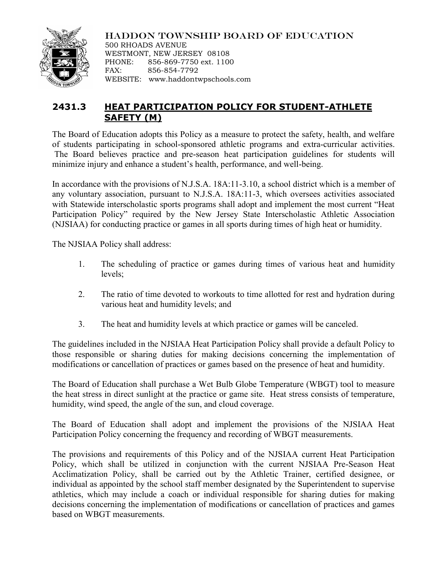

HADDON TOWNSHIP BOARD OF EDUCATION

500 RHOADS AVENUE WESTMONT, NEW JERSEY 08108 PHONE: 856-869-7750 ext. 1100 FAX: 856-854-7792 WEBSITE: www.haddontwpschools.com

## **2431.3 HEAT PARTICIPATION POLICY FOR STUDENT-ATHLETE SAFETY (M)**

The Board of Education adopts this Policy as a measure to protect the safety, health, and welfare of students participating in school-sponsored athletic programs and extra-curricular activities. The Board believes practice and pre-season heat participation guidelines for students will minimize injury and enhance a student's health, performance, and well-being.

In accordance with the provisions of N.J.S.A. 18A:11-3.10, a school district which is a member of any voluntary association, pursuant to N.J.S.A. 18A:11-3, which oversees activities associated with Statewide interscholastic sports programs shall adopt and implement the most current "Heat Participation Policy" required by the New Jersey State Interscholastic Athletic Association (NJSIAA) for conducting practice or games in all sports during times of high heat or humidity.

The NJSIAA Policy shall address:

- 1. The scheduling of practice or games during times of various heat and humidity levels;
- 2. The ratio of time devoted to workouts to time allotted for rest and hydration during various heat and humidity levels; and
- 3. The heat and humidity levels at which practice or games will be canceled.

The guidelines included in the NJSIAA Heat Participation Policy shall provide a default Policy to those responsible or sharing duties for making decisions concerning the implementation of modifications or cancellation of practices or games based on the presence of heat and humidity.

The Board of Education shall purchase a Wet Bulb Globe Temperature (WBGT) tool to measure the heat stress in direct sunlight at the practice or game site. Heat stress consists of temperature, humidity, wind speed, the angle of the sun, and cloud coverage.

The Board of Education shall adopt and implement the provisions of the NJSIAA Heat Participation Policy concerning the frequency and recording of WBGT measurements.

The provisions and requirements of this Policy and of the NJSIAA current Heat Participation Policy, which shall be utilized in conjunction with the current NJSIAA Pre-Season Heat Acclimatization Policy, shall be carried out by the Athletic Trainer, certified designee, or individual as appointed by the school staff member designated by the Superintendent to supervise athletics, which may include a coach or individual responsible for sharing duties for making decisions concerning the implementation of modifications or cancellation of practices and games based on WBGT measurements.